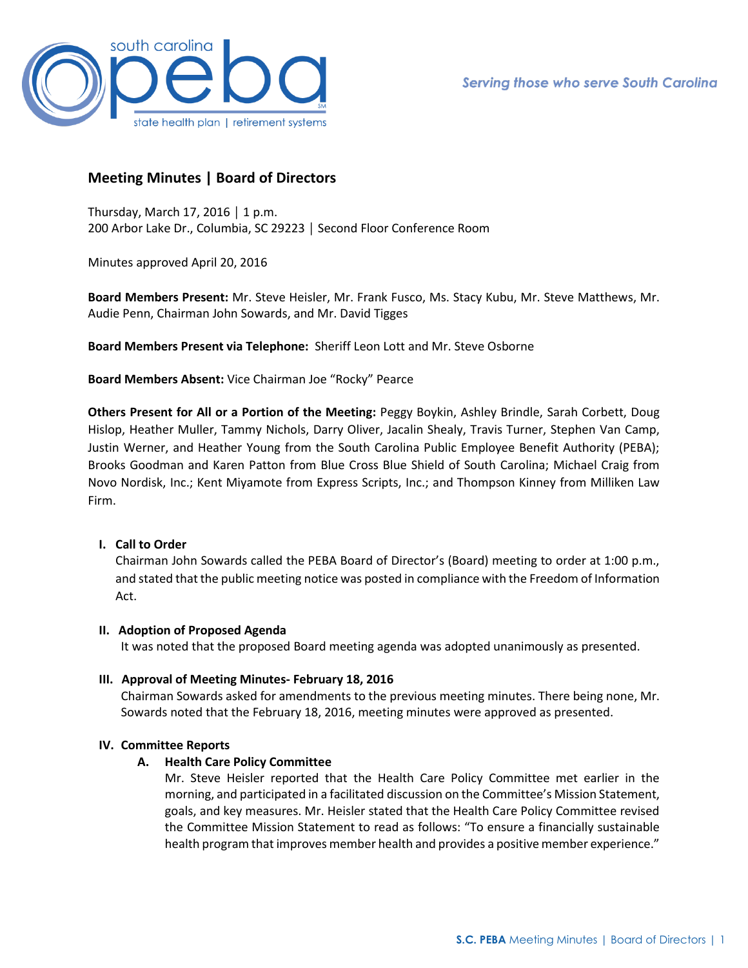

# **Meeting Minutes | Board of Directors**

Thursday, March 17, 2016 │ 1 p.m. 200 Arbor Lake Dr., Columbia, SC 29223 │ Second Floor Conference Room

Minutes approved April 20, 2016

**Board Members Present:** Mr. Steve Heisler, Mr. Frank Fusco, Ms. Stacy Kubu, Mr. Steve Matthews, Mr. Audie Penn, Chairman John Sowards, and Mr. David Tigges

**Board Members Present via Telephone:** Sheriff Leon Lott and Mr. Steve Osborne

**Board Members Absent:** Vice Chairman Joe "Rocky" Pearce

**Others Present for All or a Portion of the Meeting:** Peggy Boykin, Ashley Brindle, Sarah Corbett, Doug Hislop, Heather Muller, Tammy Nichols, Darry Oliver, Jacalin Shealy, Travis Turner, Stephen Van Camp, Justin Werner, and Heather Young from the South Carolina Public Employee Benefit Authority (PEBA); Brooks Goodman and Karen Patton from Blue Cross Blue Shield of South Carolina; Michael Craig from Novo Nordisk, Inc.; Kent Miyamote from Express Scripts, Inc.; and Thompson Kinney from Milliken Law Firm.

# **I. Call to Order**

Chairman John Sowards called the PEBA Board of Director's (Board) meeting to order at 1:00 p.m., and stated that the public meeting notice was posted in compliance with the Freedom of Information Act.

# **II. Adoption of Proposed Agenda**

It was noted that the proposed Board meeting agenda was adopted unanimously as presented.

# **III. Approval of Meeting Minutes- February 18, 2016**

Chairman Sowards asked for amendments to the previous meeting minutes. There being none, Mr. Sowards noted that the February 18, 2016, meeting minutes were approved as presented.

# **IV. Committee Reports**

# **A. Health Care Policy Committee**

Mr. Steve Heisler reported that the Health Care Policy Committee met earlier in the morning, and participated in a facilitated discussion on the Committee's Mission Statement, goals, and key measures. Mr. Heisler stated that the Health Care Policy Committee revised the Committee Mission Statement to read as follows: "To ensure a financially sustainable health program that improves member health and provides a positive member experience."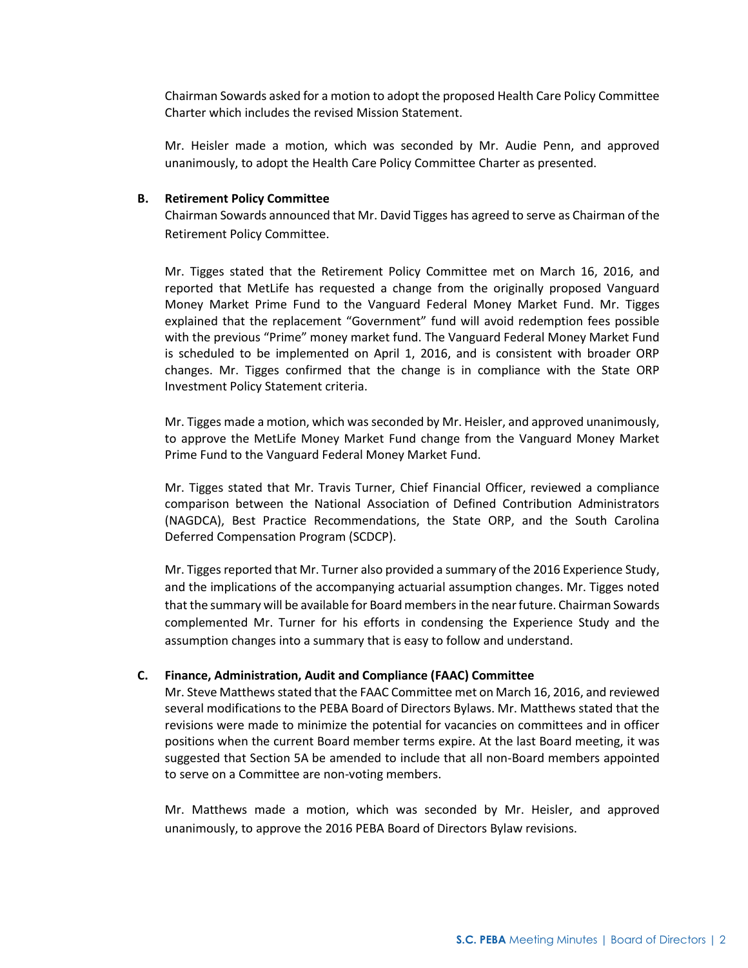Chairman Sowards asked for a motion to adopt the proposed Health Care Policy Committee Charter which includes the revised Mission Statement.

Mr. Heisler made a motion, which was seconded by Mr. Audie Penn, and approved unanimously, to adopt the Health Care Policy Committee Charter as presented.

#### **B. Retirement Policy Committee**

Chairman Sowards announced that Mr. David Tigges has agreed to serve as Chairman of the Retirement Policy Committee.

Mr. Tigges stated that the Retirement Policy Committee met on March 16, 2016, and reported that MetLife has requested a change from the originally proposed Vanguard Money Market Prime Fund to the Vanguard Federal Money Market Fund. Mr. Tigges explained that the replacement "Government" fund will avoid redemption fees possible with the previous "Prime" money market fund. The Vanguard Federal Money Market Fund is scheduled to be implemented on April 1, 2016, and is consistent with broader ORP changes. Mr. Tigges confirmed that the change is in compliance with the State ORP Investment Policy Statement criteria.

Mr. Tigges made a motion, which was seconded by Mr. Heisler, and approved unanimously, to approve the MetLife Money Market Fund change from the Vanguard Money Market Prime Fund to the Vanguard Federal Money Market Fund.

Mr. Tigges stated that Mr. Travis Turner, Chief Financial Officer, reviewed a compliance comparison between the National Association of Defined Contribution Administrators (NAGDCA), Best Practice Recommendations, the State ORP, and the South Carolina Deferred Compensation Program (SCDCP).

Mr. Tigges reported that Mr. Turner also provided a summary of the 2016 Experience Study, and the implications of the accompanying actuarial assumption changes. Mr. Tigges noted that the summary will be available for Board members in the near future. Chairman Sowards complemented Mr. Turner for his efforts in condensing the Experience Study and the assumption changes into a summary that is easy to follow and understand.

#### **C. Finance, Administration, Audit and Compliance (FAAC) Committee**

Mr. Steve Matthews stated that the FAAC Committee met on March 16, 2016, and reviewed several modifications to the PEBA Board of Directors Bylaws. Mr. Matthews stated that the revisions were made to minimize the potential for vacancies on committees and in officer positions when the current Board member terms expire. At the last Board meeting, it was suggested that Section 5A be amended to include that all non-Board members appointed to serve on a Committee are non-voting members.

Mr. Matthews made a motion, which was seconded by Mr. Heisler, and approved unanimously, to approve the 2016 PEBA Board of Directors Bylaw revisions.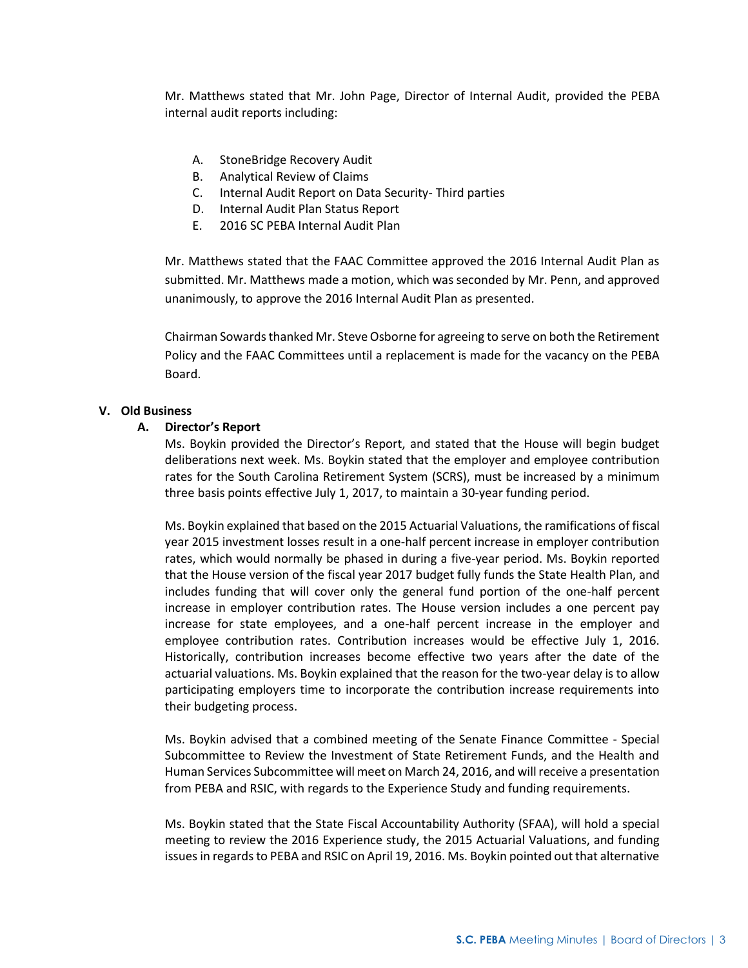Mr. Matthews stated that Mr. John Page, Director of Internal Audit, provided the PEBA internal audit reports including:

- A. StoneBridge Recovery Audit
- B. Analytical Review of Claims
- C. Internal Audit Report on Data Security- Third parties
- D. Internal Audit Plan Status Report
- E. 2016 SC PEBA Internal Audit Plan

Mr. Matthews stated that the FAAC Committee approved the 2016 Internal Audit Plan as submitted. Mr. Matthews made a motion, which was seconded by Mr. Penn, and approved unanimously, to approve the 2016 Internal Audit Plan as presented.

Chairman Sowards thanked Mr. Steve Osborne for agreeing to serve on both the Retirement Policy and the FAAC Committees until a replacement is made for the vacancy on the PEBA Board.

#### **V. Old Business**

# **A. Director's Report**

Ms. Boykin provided the Director's Report, and stated that the House will begin budget deliberations next week. Ms. Boykin stated that the employer and employee contribution rates for the South Carolina Retirement System (SCRS), must be increased by a minimum three basis points effective July 1, 2017, to maintain a 30-year funding period.

Ms. Boykin explained that based on the 2015 Actuarial Valuations, the ramifications of fiscal year 2015 investment losses result in a one-half percent increase in employer contribution rates, which would normally be phased in during a five-year period. Ms. Boykin reported that the House version of the fiscal year 2017 budget fully funds the State Health Plan, and includes funding that will cover only the general fund portion of the one-half percent increase in employer contribution rates. The House version includes a one percent pay increase for state employees, and a one-half percent increase in the employer and employee contribution rates. Contribution increases would be effective July 1, 2016. Historically, contribution increases become effective two years after the date of the actuarial valuations. Ms. Boykin explained that the reason for the two-year delay is to allow participating employers time to incorporate the contribution increase requirements into their budgeting process.

Ms. Boykin advised that a combined meeting of the Senate Finance Committee - Special Subcommittee to Review the Investment of State Retirement Funds, and the Health and Human Services Subcommittee will meet on March 24, 2016, and will receive a presentation from PEBA and RSIC, with regards to the Experience Study and funding requirements.

Ms. Boykin stated that the State Fiscal Accountability Authority (SFAA), will hold a special meeting to review the 2016 Experience study, the 2015 Actuarial Valuations, and funding issues in regards to PEBA and RSIC on April 19, 2016. Ms. Boykin pointed out that alternative